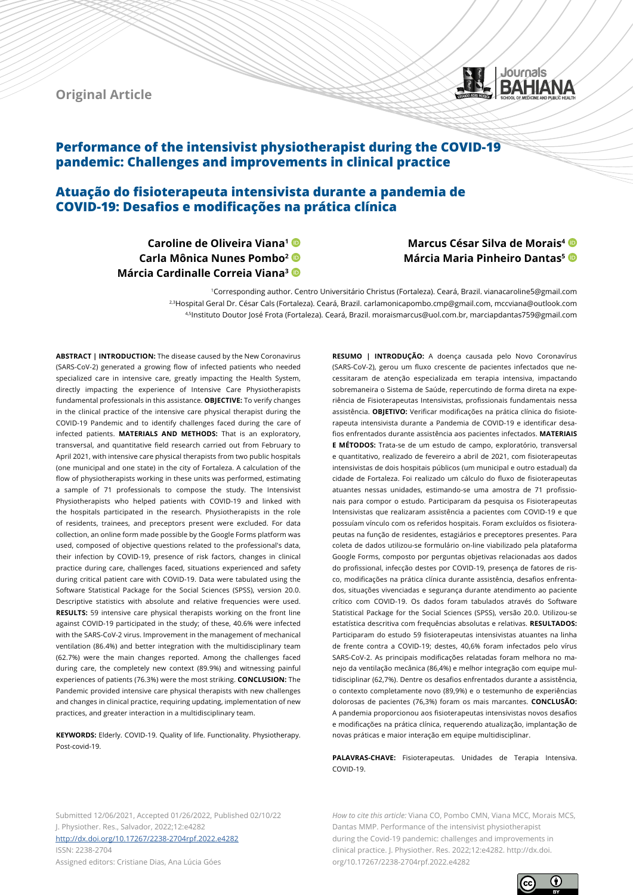**Original Article**



# **Performance of the intensivist physiotherapist during the COVID-19 pandemic: Challenges and improvements in clinical practice**

# **Atuação do fisioterapeuta intensivista durante a pandemia de COVID-19: Desafios e modificações na prática clínica**

- **Caroline de Oliveira Viana1**
- **Carla Mônica Nunes Pombo2**
- **Márcia Cardinalle Correia Viana3**

**Marcus César Silva de Morais4 Márcia Maria Pinheiro Dantas5**

1Corresponding author. Centro Universitário Christus (Fortaleza). Ceará, Brazil. vianacaroline5@gmail.com 2,3Hospital Geral Dr. César Cals (Fortaleza). Ceará, Brazil. carlamonicapombo.cmp@gmail.com, mccviana@outlook.com 4,5Instituto Doutor José Frota (Fortaleza). Ceará, Brazil. moraismarcus@uol.com.br, marciapdantas759@gmail.com

**ABSTRACT | INTRODUCTION:** The disease caused by the New Coronavirus (SARS-CoV-2) generated a growing flow of infected patients who needed specialized care in intensive care, greatly impacting the Health System, directly impacting the experience of Intensive Care Physiotherapists fundamental professionals in this assistance. **OBJECTIVE:** To verify changes in the clinical practice of the intensive care physical therapist during the COVID-19 Pandemic and to identify challenges faced during the care of infected patients. **MATERIALS AND METHODS:** That is an exploratory, transversal, and quantitative field research carried out from February to April 2021, with intensive care physical therapists from two public hospitals (one municipal and one state) in the city of Fortaleza. A calculation of the flow of physiotherapists working in these units was performed, estimating a sample of 71 professionals to compose the study. The Intensivist Physiotherapists who helped patients with COVID-19 and linked with the hospitals participated in the research. Physiotherapists in the role of residents, trainees, and preceptors present were excluded. For data collection, an online form made possible by the Google Forms platform was used, composed of objective questions related to the professional's data, their infection by COVID-19, presence of risk factors, changes in clinical practice during care, challenges faced, situations experienced and safety during critical patient care with COVID-19. Data were tabulated using the Software Statistical Package for the Social Sciences (SPSS), version 20.0. Descriptive statistics with absolute and relative frequencies were used. **RESULTS:** 59 intensive care physical therapists working on the front line against COVID-19 participated in the study; of these, 40.6% were infected with the SARS-CoV-2 virus. Improvement in the management of mechanical ventilation (86.4%) and better integration with the multidisciplinary team (62.7%) were the main changes reported. Among the challenges faced during care, the completely new context (89.9%) and witnessing painful experiences of patients (76.3%) were the most striking. **CONCLUSION:** The Pandemic provided intensive care physical therapists with new challenges and changes in clinical practice, requiring updating, implementation of new practices, and greater interaction in a multidisciplinary team.

**KEYWORDS:** Elderly. COVID-19. Quality of life. Functionality. Physiotherapy. Post-covid-19.

**RESUMO | INTRODUÇÃO:** A doença causada pelo Novo Coronavírus (SARS-CoV-2), gerou um fluxo crescente de pacientes infectados que necessitaram de atenção especializada em terapia intensiva, impactando sobremaneira o Sistema de Saúde, repercutindo de forma direta na experiência de Fisioterapeutas Intensivistas, profissionais fundamentais nessa assistência. **OBJETIVO:** Verificar modificações na prática clínica do fisioterapeuta intensivista durante a Pandemia de COVID-19 e identificar desafios enfrentados durante assistência aos pacientes infectados. **MATERIAIS E MÉTODOS:** Trata-se de um estudo de campo, exploratório, transversal e quantitativo, realizado de fevereiro a abril de 2021, com fisioterapeutas intensivistas de dois hospitais públicos (um municipal e outro estadual) da cidade de Fortaleza. Foi realizado um cálculo do fluxo de fisioterapeutas atuantes nessas unidades, estimando-se uma amostra de 71 profissionais para compor o estudo. Participaram da pesquisa os Fisioterapeutas Intensivistas que realizaram assistência a pacientes com COVID-19 e que possuíam vínculo com os referidos hospitais. Foram excluídos os fisioterapeutas na função de residentes, estagiários e preceptores presentes. Para coleta de dados utilizou-se formulário on-line viabilizado pela plataforma Google Forms, composto por perguntas objetivas relacionadas aos dados do profissional, infecção destes por COVID-19, presença de fatores de risco, modificações na prática clínica durante assistência, desafios enfrentados, situações vivenciadas e segurança durante atendimento ao paciente crítico com COVID-19. Os dados foram tabulados através do Software Statistical Package for the Social Sciences (SPSS), versão 20.0. Utilizou-se estatística descritiva com frequências absolutas e relativas. **RESULTADOS:** Participaram do estudo 59 fisioterapeutas intensivistas atuantes na linha de frente contra a COVID-19; destes, 40,6% foram infectados pelo vírus SARS-CoV-2. As principais modificações relatadas foram melhora no manejo da ventilação mecânica (86,4%) e melhor integração com equipe multidisciplinar (62,7%). Dentre os desafios enfrentados durante a assistência, o contexto completamente novo (89,9%) e o testemunho de experiências dolorosas de pacientes (76,3%) foram os mais marcantes. **CONCLUSÃO:** A pandemia proporcionou aos fisioterapeutas intensivistas novos desafios e modificações na prática clínica, requerendo atualização, implantação de novas práticas e maior interação em equipe multidisciplinar.

PALAVRAS-CHAVE: Fisioterapeutas. Unidades de Terapia Intensiva.  $COMID-19$ 

Submitted 12/06/2021, Accepted 01/26/2022, Published 02/10/22 J. Physiother. Res., Salvador, 2022;12:e4282 [http://dx.doi.org/](http://dx.doi.org/10.17267/2238-2704rpf.2022.e3474)10.17267/2238-2704rpf.2022.e4282 ISSN: 2238-2704

Assigned editors: Cristiane Dias, Ana Lúcia Góes

*How to cite this article:* Viana CO, Pombo CMN, Viana MCC, Morais MCS, Dantas MMP. Performance of the intensivist physiotherapist during the Covid-19 pandemic: challenges and improvements in clinical practice. J. Physiother. Res. 2022;12:e4282. http://dx.doi. org/10.17267/2238-2704rpf.2022.e4282

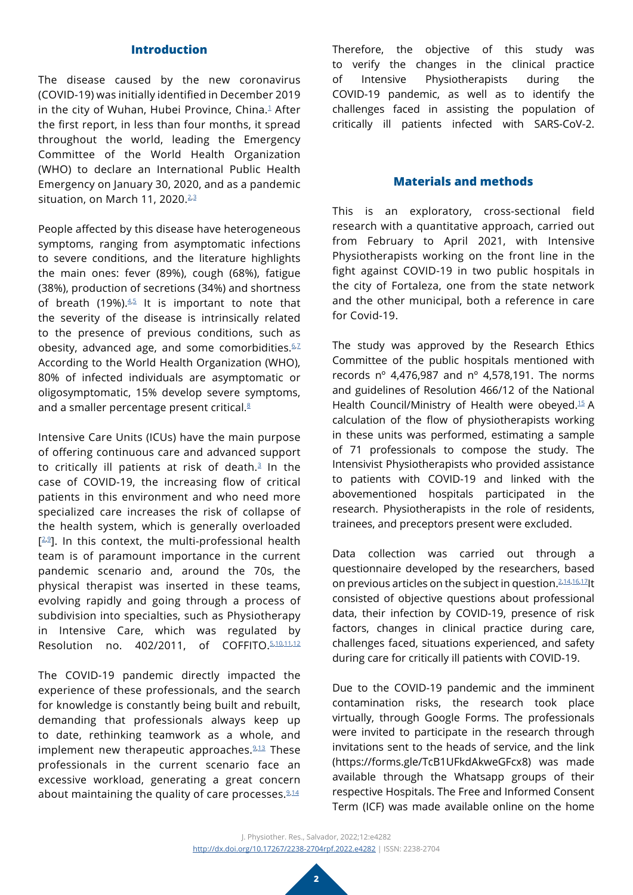## **Introduction**

The disease caused by the new coronavirus (COVID-19) was initially identified in December 2019 in the city of Wuhan, Hubei Province, China.<sup>[1](#page-6-0)</sup> After the first report, in less than four months, it spread throughout the world, leading the Emergency Committee of the World Health Organization (WHO) to declare an International Public Health Emergency on January 30, 2020, and as a pandemic situation, on March 11, [2](#page-6-1)020.<sup>2,[3](#page-6-2)</sup>

People affected by this disease have heterogeneous symptoms, ranging from asymptomatic infections to severe conditions, and the literature highlights the main ones: fever (89%), cough (68%), fatigue (38%), production of secretions (34%) and shortness of breath (19%). $4,5$  $4,5$  It is important to note that the severity of the disease is intrinsically related to the presence of previous conditions, such as obesity, advanced age, and some comorbidities. $6.7$  $6.7$ According to the World Health Organization (WHO), 80% of infected individuals are asymptomatic or oligosymptomatic, 15% develop severe symptoms, and a smaller percentage present critical.<sup>8</sup>

Intensive Care Units (ICUs) have the main purpose of offering continuous care and advanced support to critically ill patients at risk of death. $3$  In the case of COVID-19, the increasing flow of critical patients in this environment and who need more specialized care increases the risk of collapse of the health system, which is generally overloaded  $[2.2]$ . In this context, the multi-professional health team is of paramount importance in the current pandemic scenario and, around the 70s, the physical therapist was inserted in these teams, evolving rapidly and going through a process of subdivision into specialties, such as Physiotherapy in Intensive Care, which was regulated by Resolution no. 402/2011, of COFFITO.[5](#page-6-4),[10](#page-7-3),[11](#page-7-4),[12](#page-7-5)

The COVID-19 pandemic directly impacted the experience of these professionals, and the search for knowledge is constantly being built and rebuilt, demanding that professionals always keep up to date, rethinking teamwork as a whole, and implement new therapeutic approaches. $9,13$  $9,13$  These professionals in the current scenario face an excessive workload, generating a great concern about maintaining the quality of care processes.  $2.14$  $2.14$ 

Therefore, the objective of this study was to verify the changes in the clinical practice of Intensive Physiotherapists during the COVID-19 pandemic, as well as to identify the challenges faced in assisting the population of critically ill patients infected with SARS-CoV-2.

## **Materials and methods**

This is an exploratory, cross-sectional field research with a quantitative approach, carried out from February to April 2021, with Intensive Physiotherapists working on the front line in the fight against COVID-19 in two public hospitals in the city of Fortaleza, one from the state network and the other municipal, both a reference in care for Covid-19.

The study was approved by the Research Ethics Committee of the public hospitals mentioned with records  $n^{\circ}$  4,476,987 and  $n^{\circ}$  4,578,191. The norms and guidelines of Resolution 466/12 of the National Health Council/Ministry of Health were obeyed[.15](#page-7-8) A calculation of the flow of physiotherapists working in these units was performed, estimating a sample of 71 professionals to compose the study. The Intensivist Physiotherapists who provided assistance to patients with COVID-19 and linked with the abovementioned hospitals participated in the research. Physiotherapists in the role of residents, trainees, and preceptors present were excluded.

Data collection was carried out through a questionnaire developed by the researchers, based on previous articles on the subject in question.<sup>[2,](#page-6-1)[14](#page-7-7),[16](#page-7-9),17</sup>lt consisted of objective questions about professional data, their infection by COVID-19, presence of risk factors, changes in clinical practice during care, challenges faced, situations experienced, and safety during care for critically ill patients with COVID-19.

Due to the COVID-19 pandemic and the imminent contamination risks, the research took place virtually, through Google Forms. The professionals were invited to participate in the research through invitations sent to the heads of service, and the link (https://forms.gle/TcB1UFkdAkweGFcx8) was made available through the Whatsapp groups of their respective Hospitals. The Free and Informed Consent Term (ICF) was made available online on the home

J. Physiother. Res., Salvador, 2022;12:e4282 [http://dx.doi.org/](http://dx.doi.org/10.17267/2238-2704rpf.2022.e3474)10.17267/2238-2704rpf.2022.e4282 | ISSN: 2238-2704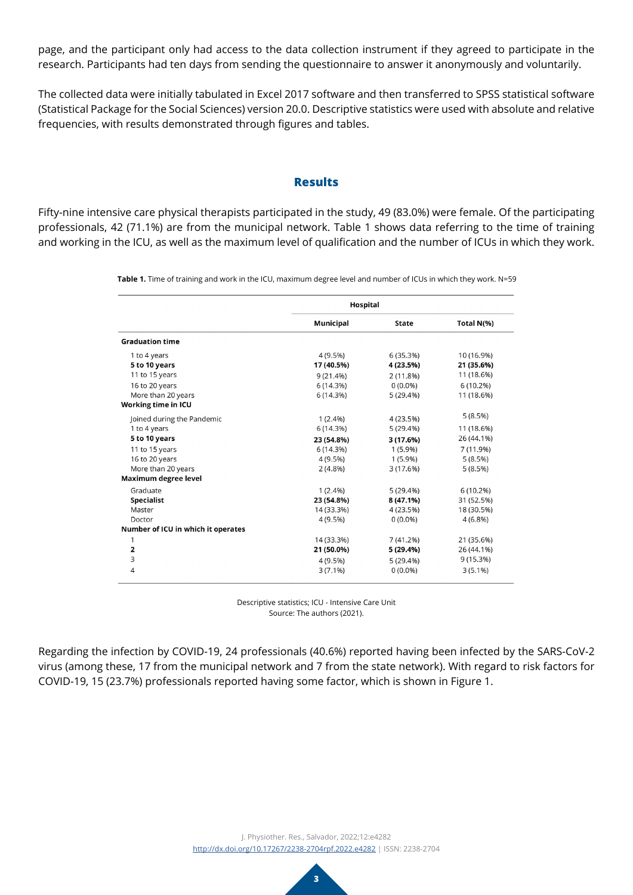page, and the participant only had access to the data collection instrument if they agreed to participate in the research. Participants had ten days from sending the questionnaire to answer it anonymously and voluntarily.

The collected data were initially tabulated in Excel 2017 software and then transferred to SPSS statistical software (Statistical Package for the Social Sciences) version 20.0. Descriptive statistics were used with absolute and relative frequencies, with results demonstrated through figures and tables.

#### **Results**

Fifty-nine intensive care physical therapists participated in the study, 49 (83.0%) were female. Of the participating professionals, 42 (71.1%) are from the municipal network. Table 1 shows data referring to the time of training and working in the ICU, as well as the maximum level of qualification and the number of ICUs in which they work.

**Table 1.** Time of training and work in the ICU, maximum degree level and number of ICUs in which they work. N=59

|                                    | Hospital         |              |            |
|------------------------------------|------------------|--------------|------------|
|                                    | <b>Municipal</b> | <b>State</b> | Total N(%) |
| <b>Graduation time</b>             |                  |              |            |
| 1 to 4 years                       | 4 (9.5%)         | 6 (35.3%)    | 10 (16.9%) |
| 5 to 10 years                      | 17 (40.5%)       | 4 (23.5%)    | 21 (35.6%) |
| 11 to 15 years                     | 9(21.4%)         | 2(11.8%)     | 11 (18.6%) |
| 16 to 20 years                     | 6(14.3%)         | $0(0.0\%)$   | 6(10.2%)   |
| More than 20 years                 | 6(14.3%)         | 5(29.4%)     | 11 (18.6%) |
| Working time in ICU                |                  |              |            |
| Joined during the Pandemic         | $1(2.4\%)$       | 4(23.5%)     | 5(8.5%)    |
| 1 to 4 years                       | 6(14.3%)         | 5(29.4%)     | 11 (18.6%) |
| 5 to 10 years                      | 23 (54.8%)       | 3 (17.6%)    | 26 (44.1%) |
| 11 to 15 years                     | 6(14.3%)         | $1(5.9\%)$   | 7 (11.9%)  |
| 16 to 20 years                     | 4(9.5%)          | $1(5.9\%)$   | 5(8.5%)    |
| More than 20 years                 | $2(4.8\%)$       | 3 (17.6%)    | 5(8.5%)    |
| Maximum degree level               |                  |              |            |
| Graduate                           | $1(2.4\%)$       | 5(29.4%)     | 6(10.2%)   |
| <b>Specialist</b>                  | 23 (54.8%)       | 8 (47.1%)    | 31 (52.5%) |
| Master                             | 14 (33.3%)       | 4 (23.5%)    | 18 (30.5%) |
| Doctor                             | 4(9.5%)          | $0(0.0\%)$   | $4(6.8\%)$ |
| Number of ICU in which it operates |                  |              |            |
| 1                                  | 14 (33.3%)       | 7(41.2%)     | 21 (35.6%) |
| 2                                  | 21 (50.0%)       | 5 (29.4%)    | 26 (44.1%) |
| 3                                  | 4(9.5%)          | 5(29.4%)     | 9(15.3%)   |
| $\overline{4}$                     | $3(7.1\%)$       | $0(0.0\%)$   | $3(5.1\%)$ |

Descriptive statistics; ICU - Intensive Care Unit Source: The authors (2021).

Regarding the infection by COVID-19, 24 professionals (40.6%) reported having been infected by the SARS-CoV-2 virus (among these, 17 from the municipal network and 7 from the state network). With regard to risk factors for COVID-19, 15 (23.7%) professionals reported having some factor, which is shown in Figure 1.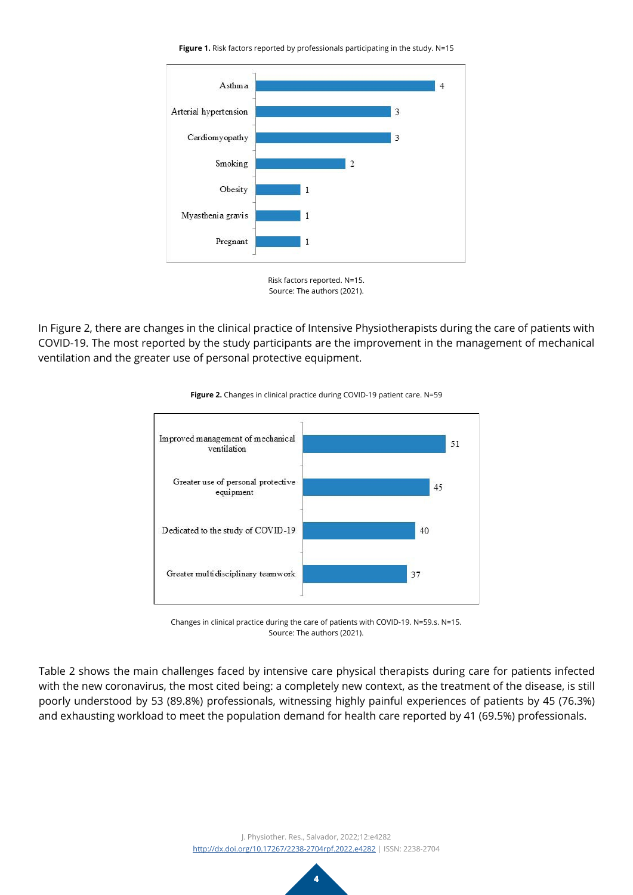**Figure 1.** Risk factors reported by professionals participating in the study. N=15





In Figure 2, there are changes in the clinical practice of Intensive Physiotherapists during the care of patients with COVID-19. The most reported by the study participants are the improvement in the management of mechanical ventilation and the greater use of personal protective equipment.



**Figure 2.** Changes in clinical practice during COVID-19 patient care. N=59

Changes in clinical practice during the care of patients with COVID-19. N=59.s. N=15. Source: The authors (2021).

Table 2 shows the main challenges faced by intensive care physical therapists during care for patients infected with the new coronavirus, the most cited being: a completely new context, as the treatment of the disease, is still poorly understood by 53 (89.8%) professionals, witnessing highly painful experiences of patients by 45 (76.3%) and exhausting workload to meet the population demand for health care reported by 41 (69.5%) professionals.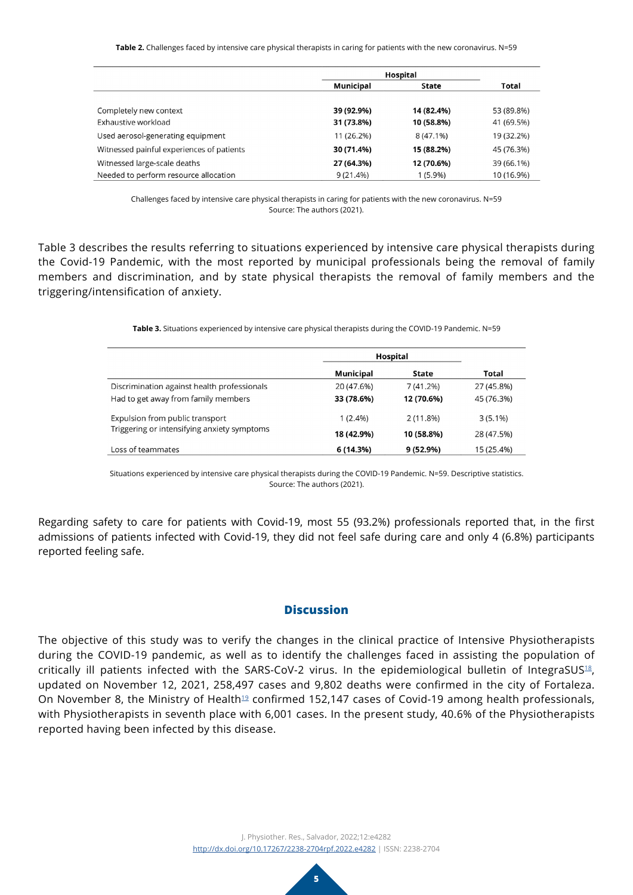**Table 2.** Challenges faced by intensive care physical therapists in caring for patients with the new coronavirus. N=59

|                                           | Hospital    |             |            |
|-------------------------------------------|-------------|-------------|------------|
|                                           | Municipal   | State       | Total      |
|                                           |             |             |            |
| Completely new context                    | 39 (92.9%)  | 14 (82.4%)  | 53 (89.8%) |
| Exhaustive workload                       | 31 (73.8%)  | 10 (58.8%)  | 41 (69.5%) |
| Used aerosol-generating equipment         | 11 (26.2%)  | $8(47.1\%)$ | 19 (32.2%) |
| Witnessed painful experiences of patients | 30 (71.4%)  | 15 (88.2%)  | 45 (76.3%) |
| Witnessed large-scale deaths              | 27 (64.3%)  | 12 (70.6%)  | 39 (66.1%) |
| Needed to perform resource allocation     | $9(21.4\%)$ | $1(5.9\%)$  | 10 (16.9%) |

Challenges faced by intensive care physical therapists in caring for patients with the new coronavirus. N=59 Source: The authors (2021).

Table 3 describes the results referring to situations experienced by intensive care physical therapists during the Covid-19 Pandemic, with the most reported by municipal professionals being the removal of family members and discrimination, and by state physical therapists the removal of family members and the triggering/intensification of anxiety.

**Table 3.** Situations experienced by intensive care physical therapists during the COVID-19 Pandemic. N=59

|                                             | Municipal  | State      | Total      |
|---------------------------------------------|------------|------------|------------|
| Discrimination against health professionals | 20 (47.6%) | 7(41.2%)   | 27 (45.8%) |
| Had to get away from family members         | 33 (78.6%) | 12 (70.6%) | 45 (76.3%) |
| Expulsion from public transport             | $1(2.4\%)$ | 2(11.8%)   | $3(5.1\%)$ |
| Triggering or intensifying anxiety symptoms | 18 (42.9%) | 10 (58.8%) | 28 (47.5%) |
| Loss of teammates                           | 6 (14.3%)  | 9 (52.9%)  | 15 (25.4%) |

Situations experienced by intensive care physical therapists during the COVID-19 Pandemic. N=59. Descriptive statistics. Source: The authors (2021).

Regarding safety to care for patients with Covid-19, most 55 (93.2%) professionals reported that, in the first admissions of patients infected with Covid-19, they did not feel safe during care and only 4 (6.8%) participants reported feeling safe.

### **Discussion**

The objective of this study was to verify the changes in the clinical practice of Intensive Physiotherapists during the COVID-19 pandemic, as well as to identify the challenges faced in assisting the population of critically ill patients infected with the SARS-CoV-2 virus. In the epidemiological bulletin of IntegraSUS<sup>[18](#page-7-11)</sup>, updated on November 12, 2021, 258,497 cases and 9,802 deaths were confirmed in the city of Fortaleza. On November 8, the Ministry of Health<sup>[19](#page-7-12)</sup> confirmed 152,147 cases of Covid-19 among health professionals, with Physiotherapists in seventh place with 6,001 cases. In the present study, 40.6% of the Physiotherapists reported having been infected by this disease.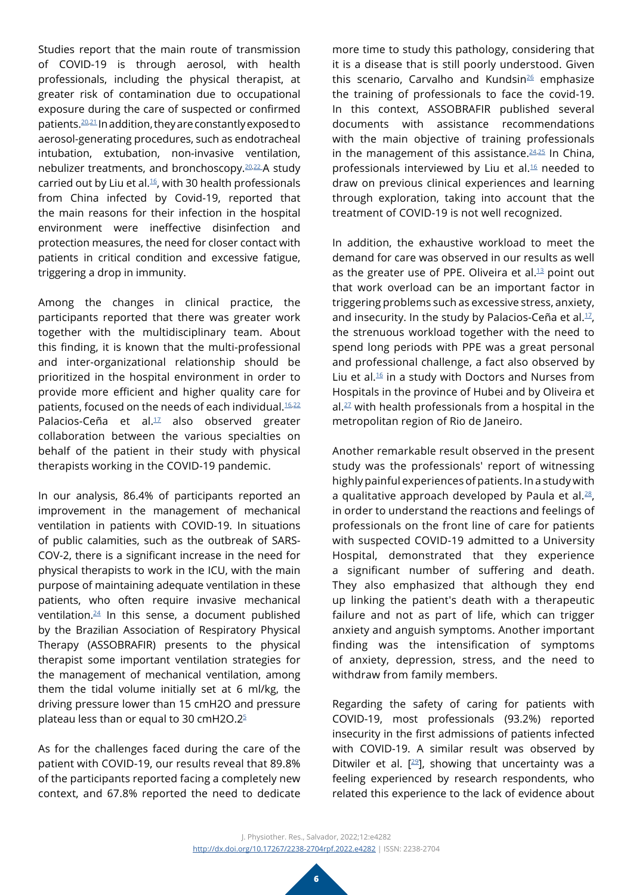Studies report that the main route of transmission of COVID-19 is through aerosol, with health professionals, including the physical therapist, at greater risk of contamination due to occupational exposure during the care of suspected or confirmed patients[.20](#page-7-13),[21](#page-7-14) In addition, they are constantly exposed to aerosol-generating procedures, such as endotracheal intubation, extubation, non-invasive ventilation, nebulizer treatments, and bronchoscopy[.20](#page-7-13),[22](#page-7-15) A study carried out by Liu et al. $16$ , with 30 health professionals from China infected by Covid-19, reported that the main reasons for their infection in the hospital environment were ineffective disinfection and protection measures, the need for closer contact with patients in critical condition and excessive fatigue, triggering a drop in immunity.

Among the changes in clinical practice, the participants reported that there was greater work together with the multidisciplinary team. About this finding, it is known that the multi-professional and inter-organizational relationship should be prioritized in the hospital environment in order to provide more efficient and higher quality care for patients, focused on the needs of each individual.<sup>[16](#page-7-9),22</sup> Palacios-Ceña et al.<sup>17</sup> also observed greater collaboration between the various specialties on behalf of the patient in their study with physical therapists working in the COVID-19 pandemic.

In our analysis, 86.4% of participants reported an improvement in the management of mechanical ventilation in patients with COVID-19. In situations of public calamities, such as the outbreak of SARS-COV-2, there is a significant increase in the need for physical therapists to work in the ICU, with the main purpose of maintaining adequate ventilation in these patients, who often require invasive mechanical ventilation.[24](#page-7-16) In this sense, a document published by the Brazilian Association of Respiratory Physical Therapy (ASSOBRAFIR) presents to the physical therapist some important ventilation strategies for the management of mechanical ventilation, among them the tidal volume initially set at 6 ml/kg, the driving pressure lower than 15 cmH2O and pressure plateau less than or equal to 30 cmH2O.2[5](#page-6-4)

As for the challenges faced during the care of the patient with COVID-19, our results reveal that 89.8% of the participants reported facing a completely new context, and 67.8% reported the need to dedicate

more time to study this pathology, considering that it is a disease that is still poorly understood. Given this scenario, Carvalho and Kundsin<sup>26</sup> emphasize the training of professionals to face the covid-19. In this context, ASSOBRAFIR published several documents with assistance recommendations with the main objective of training professionals in the management of this assistance. $24,25$  $24,25$  In China, professionals interviewed by Liu et al.[16](#page-7-9) needed to draw on previous clinical experiences and learning through exploration, taking into account that the treatment of COVID-19 is not well recognized.

In addition, the exhaustive workload to meet the demand for care was observed in our results as well as the greater use of PPE. Oliveira et al. $13$  point out that work overload can be an important factor in triggering problems such as excessive stress, anxiety, and insecurity. In the study by Palacios-Ceña et al. $1/2$ , the strenuous workload together with the need to spend long periods with PPE was a great personal and professional challenge, a fact also observed by Liu et al. $16$  in a study with Doctors and Nurses from Hospitals in the province of Hubei and by Oliveira et  $al.<sup>27</sup>$  $al.<sup>27</sup>$  $al.<sup>27</sup>$  with health professionals from a hospital in the metropolitan region of Rio de Janeiro.

Another remarkable result observed in the present study was the professionals' report of witnessing highly painful experiences of patients. In a study with a qualitative approach developed by Paula et al. $^{28}$  $^{28}$  $^{28}$ , in order to understand the reactions and feelings of professionals on the front line of care for patients with suspected COVID-19 admitted to a University Hospital, demonstrated that they experience a significant number of suffering and death. They also emphasized that although they end up linking the patient's death with a therapeutic failure and not as part of life, which can trigger anxiety and anguish symptoms. Another important finding was the intensification of symptoms of anxiety, depression, stress, and the need to withdraw from family members.

Regarding the safety of caring for patients with COVID-19, most professionals (93.2%) reported insecurity in the first admissions of patients infected with COVID-19. A similar result was observed by Ditwiler et al.  $[29]$  $[29]$ , showing that uncertainty was a feeling experienced by research respondents, who related this experience to the lack of evidence about

J. Physiother. Res., Salvador, 2022;12:e4282 [http://dx.doi.org/](http://dx.doi.org/10.17267/2238-2704rpf.2022.e3474)10.17267/2238-2704rpf.2022.e4282 | ISSN: 2238-2704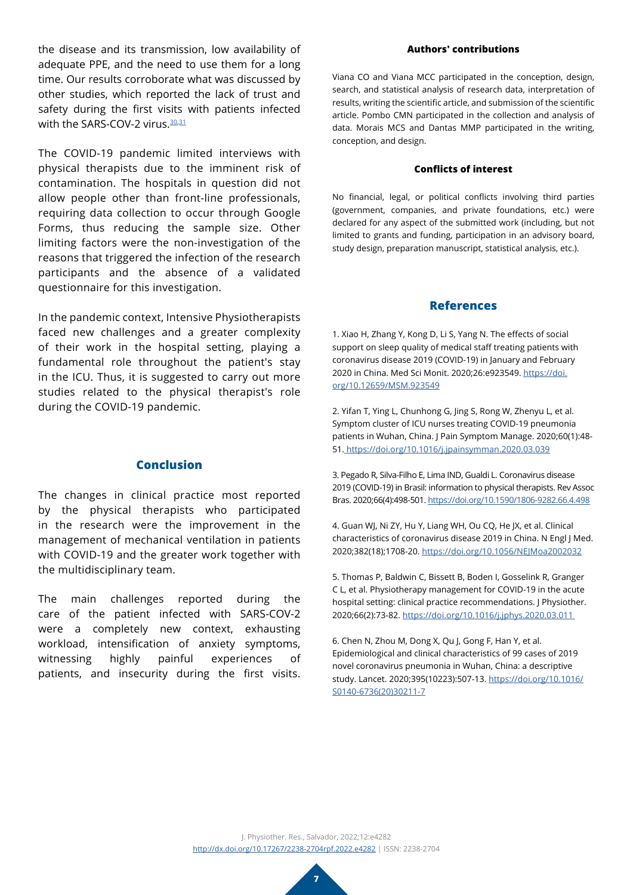the disease and its transmission, low availability of adequate PPE, and the need to use them for a long time. Our results corroborate what was discussed by other studies, which reported the lack of trust and safety during the first visits with patients infected with the SARS-COV-2 virus. [30](#page-8-3),[31](#page-8-4)

The COVID-19 pandemic limited interviews with physical therapists due to the imminent risk of contamination. The hospitals in question did not allow people other than front-line professionals, requiring data collection to occur through Google Forms, thus reducing the sample size. Other limiting factors were the non-investigation of the reasons that triggered the infection of the research participants and the absence of a validated questionnaire for this investigation.

In the pandemic context, Intensive Physiotherapists faced new challenges and a greater complexity of their work in the hospital setting, playing a fundamental role throughout the patient's stay in the ICU. Thus, it is suggested to carry out more studies related to the physical therapist's role during the COVID-19 pandemic.

## **Conclusion**

The changes in clinical practice most reported by the physical therapists who participated in the research were the improvement in the management of mechanical ventilation in patients with COVID-19 and the greater work together with the multidisciplinary team.

The main challenges reported during the care of the patient infected with SARS-COV-2 were a completely new context, exhausting workload, intensification of anxiety symptoms, witnessing highly painful experiences of patients, and insecurity during the first visits.

#### **Authors' contributions**

Viana CO and Viana MCC participated in the conception, design, search, and statistical analysis of research data, interpretation of results, writing the scientific article, and submission of the scientific article. Pombo CMN participated in the collection and analysis of data. Morais MCS and Dantas MMP participated in the writing, conception, and design.

#### **Conflicts of interest**

No financial, legal, or political conflicts involving third parties (government, companies, and private foundations, etc.) were declared for any aspect of the submitted work (including, but not limited to grants and funding, participation in an advisory board, study design, preparation manuscript, statistical analysis, etc.).

#### **References**

<span id="page-6-0"></span>1. Xiao H, Zhang Y, Kong D, Li S, Yang N. The effects of social support on sleep quality of medical staff treating patients with coronavirus disease 2019 (COVID-19) in January and February 2020 in China. Med Sci Monit. 2020;26:e923549. [https://doi.](https://www.medscimonit.com/abstract/index/idArt/923549) [org/10.12659/MSM.923549](https://www.medscimonit.com/abstract/index/idArt/923549)

<span id="page-6-1"></span>2. Yifan T, Ying L, Chunhong G, Jing S, Rong W, Zhenyu L, et al. Symptom cluster of ICU nurses treating COVID-19 pneumonia patients in Wuhan, China. J Pain Symptom Manage. 2020;60(1):48- 51. [https://doi.org/10.1016/j.jpainsymman.2020.03.039](https://www.jpsmjournal.com/article/S0885-3924(20)30192-5/fulltext)

<span id="page-6-2"></span>3. Pegado R, Silva-Filho E, Lima IND, Gualdi L. Coronavirus disease 2019 (COVID-19) in Brasil: information to physical therapists. Rev Assoc Bras. 2020;66(4):498-501. [https://doi.org/10.1590/1806-9282.66.4.498](https://www.scielo.br/j/ramb/a/8Tx6nsjBDWS5pHy8FbvMw6z/?lang=en)

<span id="page-6-3"></span>4. Guan WJ, Ni ZY, Hu Y, Liang WH, Ou CQ, He JX, et al. Clinical characteristics of coronavirus disease 2019 in China. N Engl J Med. 2020;382(18);1708-20. [https://doi.org/10.1056/NEJMoa2002032](https://www.nejm.org/doi/10.1056/NEJMoa2002032)

<span id="page-6-4"></span>5. Thomas P, Baldwin C, Bissett B, Boden I, Gosselink R, Granger C L, et al. Physiotherapy management for COVID-19 in the acute hospital setting: clinical practice recommendations. J Physiother. 2020;66(2):73-82. [https://doi.org/10.1016/j.jphys.2020.03.011](https://www.sciencedirect.com/science/article/pii/S183695532030028X?via%3Dihub) 

<span id="page-6-5"></span>6. Chen N, Zhou M, Dong X, Qu J, Gong F, Han Y, et al. Epidemiological and clinical characteristics of 99 cases of 2019 novel coronavirus pneumonia in Wuhan, China: a descriptive study. Lancet. 2020;395(10223):507-13. [https://doi.org/10.1016/](https://www.thelancet.com/journals/lancet/article/PIIS0140-6736(20)30211-7/fulltext) [S0140-6736\(20\)30211-7](https://www.thelancet.com/journals/lancet/article/PIIS0140-6736(20)30211-7/fulltext)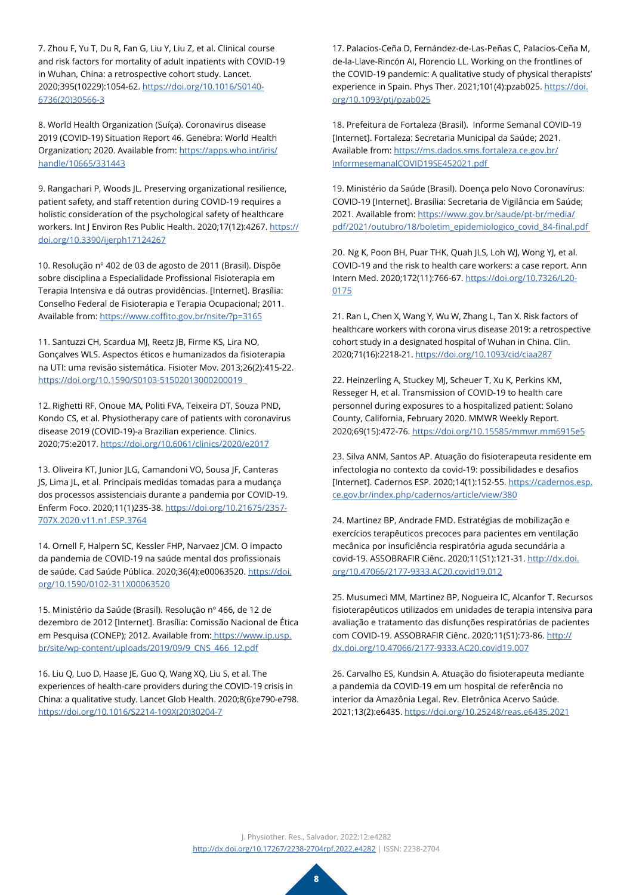<span id="page-7-0"></span>7. Zhou F, Yu T, Du R, Fan G, Liu Y, Liu Z, et al. Clinical course and risk factors for mortality of adult inpatients with COVID-19 in Wuhan, China: a retrospective cohort study. Lancet. 2020;395(10229):1054-62. [https://doi.org/10.1016/S0140-](https://www.thelancet.com/journals/lancet/article/PIIS0140-6736(20)30566-3/fulltext) [6736\(20\)30566-3](https://www.thelancet.com/journals/lancet/article/PIIS0140-6736(20)30566-3/fulltext)

<span id="page-7-1"></span>8. World Health Organization (Suíça). Coronavirus disease 2019 (COVID-19) Situation Report 46. Genebra: World Health Organization; 2020. Available from: [https://apps.who.int/iris/](https://apps.who.int/iris/handle/10665/331443) [handle/10665/331443](https://apps.who.int/iris/handle/10665/331443)

<span id="page-7-2"></span>9. Rangachari P, Woods JL. Preserving organizational resilience, patient safety, and staff retention during COVID-19 requires a holistic consideration of the psychological safety of healthcare workers. Int J Environ Res Public Health. 2020;17(12):4267. [https://](https://www.mdpi.com/1660-4601/17/12/4267) [doi.org/10.3390/ijerph17124267](https://www.mdpi.com/1660-4601/17/12/4267)

<span id="page-7-3"></span>10. Resolução nº 402 de 03 de agosto de 2011 (Brasil). Dispõe sobre disciplina a Especialidade Profissional Fisioterapia em Terapia Intensiva e dá outras providências. [Internet]. Brasília: Conselho Federal de Fisioterapia e Terapia Ocupacional; 2011. Available from: <https://www.coffito.gov.br/nsite/?p=3165>

<span id="page-7-4"></span>11. Santuzzi CH, Scardua MJ, Reetz JB, Firme KS, Lira NO, Gonçalves WLS. Aspectos éticos e humanizados da fisioterapia na UTI: uma revisão sistemática. Fisioter Mov. 2013;26(2):415-22. [https://doi.org/10.1590/S0103-51502013000200019](https://www.scielo.br/j/fm/a/vfRcsW8GGYqSFkVNJsWyYyM/?lang=pt) 

<span id="page-7-5"></span>12. Righetti RF, Onoue MA, Politi FVA, Teixeira DT, Souza PND, Kondo CS, et al. Physiotherapy care of patients with coronavirus disease 2019 (COVID-19)-a Brazilian experience. Clinics. 2020;75:e2017. <https://doi.org/10.6061/clinics/2020/e2017>

<span id="page-7-6"></span>13. Oliveira KT, Junior JLG, Camandoni VO, Sousa JF, Canteras JS, Lima JL, et al. Principais medidas tomadas para a mudança dos processos assistenciais durante a pandemia por COVID-19. Enferm Foco. 2020;11(1)235-38. [https://doi.org/10.21675/2357-](http://revista.cofen.gov.br/index.php/enfermagem/article/view/3764) [707X.2020.v11.n1.ESP.3764](http://revista.cofen.gov.br/index.php/enfermagem/article/view/3764)

<span id="page-7-7"></span>14. Ornell F, Halpern SC, Kessler FHP, Narvaez JCM. O impacto da pandemia de COVID-19 na saúde mental dos profissionais de saúde. Cad Saúde Pública. 2020;36(4):e00063520. [https://doi.](https://doi.org/10.1590/0102-311X00063520) [org/10.1590/0102-311X00063520](https://doi.org/10.1590/0102-311X00063520)

<span id="page-7-8"></span>15. Ministério da Saúde (Brasil). Resolução nº 466, de 12 de dezembro de 2012 [Internet]. Brasília: Comissão Nacional de Ética em Pesquisa (CONEP); 2012. Available from[: https://www.ip.usp.](https://www.ip.usp.br/site/wp-content/uploads/2019/09/9_CNS_466_12.pdf) [br/site/wp-content/uploads/2019/09/9\\_CNS\\_466\\_12.pdf](https://www.ip.usp.br/site/wp-content/uploads/2019/09/9_CNS_466_12.pdf)

<span id="page-7-9"></span>16. Liu Q, Luo D, Haase JE, Guo Q, Wang XQ, Liu S, et al. The experiences of health-care providers during the COVID-19 crisis in China: a qualitative study. Lancet Glob Health. 2020;8(6):e790-e798. [https://doi.org/10.1016/S2214-109X\(20\)30204-7](https://www.thelancet.com/journals/langlo/article/PIIS2214-109X(20)30204-7/fulltext)

<span id="page-7-10"></span>17. Palacios-Ceña D, Fernández-de-Las-Peñas C, Palacios-Ceña M, de-la-Llave-Rincón AI, Florencio LL. Working on the frontlines of the COVID-19 pandemic: A qualitative study of physical therapists' experience in Spain. Phys Ther. 2021;101(4):pzab025. [https://doi.](https://academic.oup.com/ptj/article/101/4/pzab025/6124776) [org/10.1093/ptj/pzab025](https://academic.oup.com/ptj/article/101/4/pzab025/6124776)

<span id="page-7-11"></span>18. Prefeitura de Fortaleza (Brasil). Informe Semanal COVID-19 [Internet]. Fortaleza: Secretaria Municipal da Saúde; 2021. Available from: [https://ms.dados.sms.fortaleza.ce.gov.br/](https://ms.dados.sms.fortaleza.ce.gov.br/InformesemanalCOVID19SE452021.pdf) [InformesemanalCOVID19SE452021.pdf](https://ms.dados.sms.fortaleza.ce.gov.br/InformesemanalCOVID19SE452021.pdf) 

<span id="page-7-12"></span>19. Ministério da Saúde (Brasil). Doença pelo Novo Coronavírus: COVID-19 [Internet]. Brasília: Secretaria de Vigilância em Saúde; 2021. Available from: [https://www.gov.br/saude/pt-br/media/](https://www.gov.br/saude/pt-br/centrais-de-conteudo/publicacoes/boletins/boletins-epidemiologicos/covid-19/2021/boletim_epidemiologico_covid_84-final.pdf) [pdf/2021/outubro/18/boletim\\_epidemiologico\\_covid\\_84-final.pdf](https://www.gov.br/saude/pt-br/centrais-de-conteudo/publicacoes/boletins/boletins-epidemiologicos/covid-19/2021/boletim_epidemiologico_covid_84-final.pdf) 

<span id="page-7-13"></span>20. Ng K, Poon BH, Puar THK, Quah JLS, Loh WJ, Wong YJ, et al. COVID-19 and the risk to health care workers: a case report. Ann Intern Med. 2020;172(11):766-67. [https://doi.org/10.7326/L20-](https://www.acpjournals.org/doi/10.7326/L20-0175) [0175](https://www.acpjournals.org/doi/10.7326/L20-0175)

<span id="page-7-14"></span>21. Ran L, Chen X, Wang Y, Wu W, Zhang L, Tan X. Risk factors of healthcare workers with corona virus disease 2019: a retrospective cohort study in a designated hospital of Wuhan in China. Clin. 2020;71(16):2218-21. [https://doi.org/10.1093/cid/ciaa287](https://academic.oup.com/cid/article/71/16/2218/5808788)

<span id="page-7-15"></span>22. Heinzerling A, Stuckey MJ, Scheuer T, Xu K, Perkins KM, Resseger H, et al. Transmission of COVID-19 to health care personnel during exposures to a hospitalized patient: Solano County, California, February 2020. MMWR Weekly Report. 2020;69(15):472-76. [https://doi.org/10.15585/mmwr.mm6915e5](https://www.cdc.gov/mmwr/volumes/69/wr/mm6915e5.htm?s_cid=mm6915e5_w)

23. Silva ANM, Santos AP. Atuação do fisioterapeuta residente em infectologia no contexto da covid-19: possibilidades e desafios [Internet]. Cadernos ESP. 2020;14(1):152-55. [https://cadernos.esp.](https://cadernos.esp.ce.gov.br/index.php/cadernos/article/view/380) [ce.gov.br/index.php/cadernos/article/view/380](https://cadernos.esp.ce.gov.br/index.php/cadernos/article/view/380)

<span id="page-7-16"></span>24. Martinez BP, Andrade FMD. Estratégias de mobilização e exercícios terapêuticos precoces para pacientes em ventilação mecânica por insuficiência respiratória aguda secundária a covid-19. ASSOBRAFIR Ciênc. 2020;11(S1):121-31. [http://dx.doi.](http://www.uel.br/revistas/uel/index.php/rebrafis/article/view/41157) [org/10.47066/2177-9333.AC20.covid19.012](http://www.uel.br/revistas/uel/index.php/rebrafis/article/view/41157)

<span id="page-7-18"></span>25. Musumeci MM, Martinez BP, Nogueira IC, Alcanfor T. Recursos fisioterapêuticos utilizados em unidades de terapia intensiva para avaliação e tratamento das disfunções respiratórias de pacientes com COVID-19. ASSOBRAFIR Ciênc. 2020;11(S1):73-86. [http://](http://www.uel.br/revistas/uel/index.php/rebrafis/article/view/41149) [dx.doi.org/10.47066/2177-9333.AC20.covid19.007](http://www.uel.br/revistas/uel/index.php/rebrafis/article/view/41149)

<span id="page-7-17"></span>26. Carvalho ES, Kundsin A. Atuação do fisioterapeuta mediante a pandemia da COVID-19 em um hospital de referência no interior da Amazônia Legal. Rev. Eletrônica Acervo Saúde. 2021;13(2):e6435. [https://doi.org/10.25248/reas.e6435.2021](https://acervomais.com.br/index.php/saude/article/view/6435)